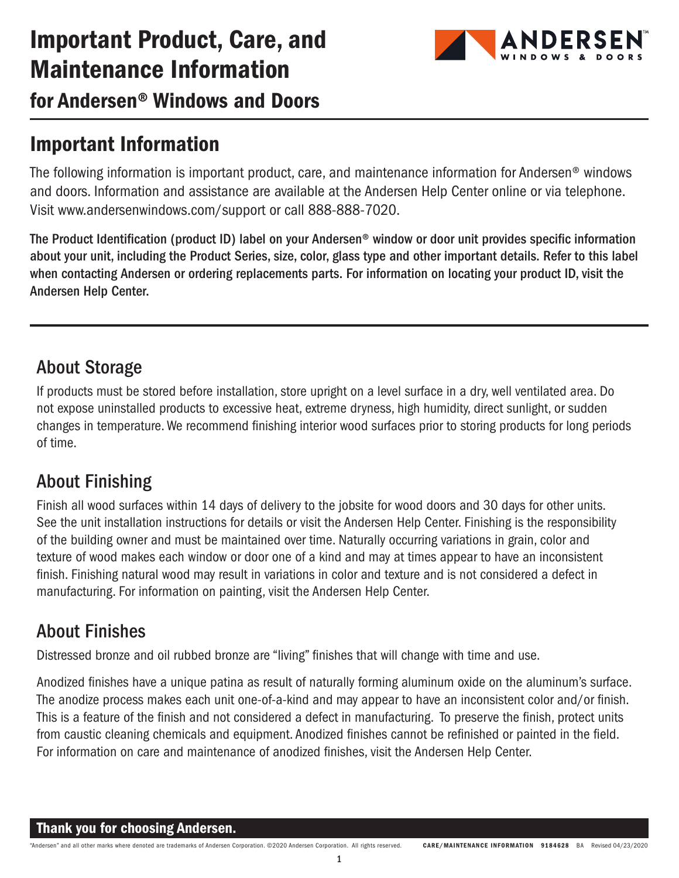# Important Product, Care, and Maintenance Information



for Andersen® Windows and Doors

## Important Information

The following information is important product, care, and maintenance information for Andersen® windows and doors. Information and assistance are available at the Andersen Help Center online or via telephone. Visit www.andersenwindows.com/support or call 888-888-7020.

The Product Identification (product ID) label on your Andersen® window or door unit provides specific information about your unit, including the Product Series, size, color, glass type and other important details. Refer to this label when contacting Andersen or ordering replacements parts. For information on locating your product ID, visit the Andersen Help Center.

### About Storage

If products must be stored before installation, store upright on a level surface in a dry, well ventilated area. Do not expose uninstalled products to excessive heat, extreme dryness, high humidity, direct sunlight, or sudden changes in temperature. We recommend finishing interior wood surfaces prior to storing products for long periods of time.

### About Finishing

Finish all wood surfaces within 14 days of delivery to the jobsite for wood doors and 30 days for other units. See the unit installation instructions for details or visit the Andersen Help Center. Finishing is the responsibility of the building owner and must be maintained over time. Naturally occurring variations in grain, color and texture of wood makes each window or door one of a kind and may at times appear to have an inconsistent finish. Finishing natural wood may result in variations in color and texture and is not considered a defect in manufacturing. For information on painting, visit the Andersen Help Center.

### About Finishes

Distressed bronze and oil rubbed bronze are "living" finishes that will change with time and use.

Anodized finishes have a unique patina as result of naturally forming aluminum oxide on the aluminum's surface. The anodize process makes each unit one-of-a-kind and may appear to have an inconsistent color and/or finish. This is a feature of the finish and not considered a defect in manufacturing. To preserve the finish, protect units from caustic cleaning chemicals and equipment. Anodized finishes cannot be refinished or painted in the field. For information on care and maintenance of anodized finishes, visit the Andersen Help Center.